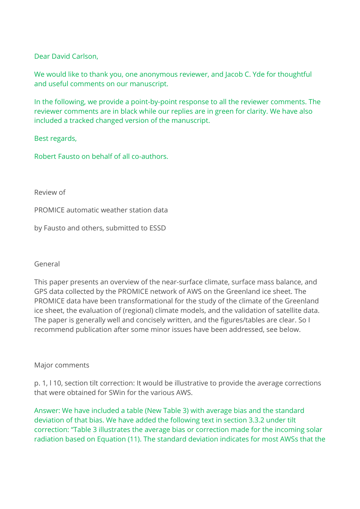Dear David Carlson,

We would like to thank you, one anonymous reviewer, and Jacob C. Yde for thoughtful and useful comments on our manuscript.

In the following, we provide a point-by-point response to all the reviewer comments. The reviewer comments are in black while our replies are in green for clarity. We have also included a tracked changed version of the manuscript.

Best regards,

Robert Fausto on behalf of all co-authors.

Review of

PROMICE automatic weather station data

by Fausto and others, submitted to ESSD

### General

This paper presents an overview of the near-surface climate, surface mass balance, and GPS data collected by the PROMICE network of AWS on the Greenland ice sheet. The PROMICE data have been transformational for the study of the climate of the Greenland ice sheet, the evaluation of (regional) climate models, and the validation of satellite data. The paper is generally well and concisely written, and the figures/tables are clear. So I recommend publication after some minor issues have been addressed, see below.

### Major comments

p. 1, l 10, section tilt correction: It would be illustrative to provide the average corrections that were obtained for SWin for the various AWS.

Answer: We have included a table (New Table 3) with average bias and the standard deviation of that bias. We have added the following text in section 3.3.2 under tilt correction: "Table 3 illustrates the average bias or correction made for the incoming solar radiation based on Equation (11). The standard deviation indicates for most AWSs that the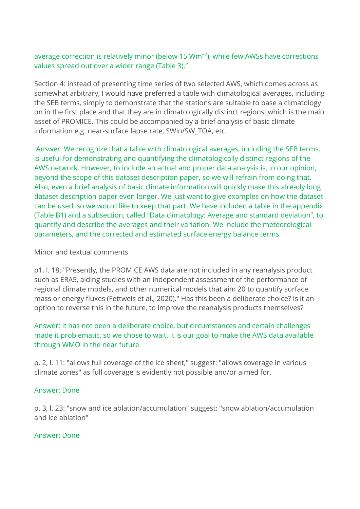# average correction is relatively minor (below 15 Wm−2), while few AWSs have corrections values spread out over a wider range (Table 3)."

Section 4: instead of presenting time series of two selected AWS, which comes across as somewhat arbitrary, I would have preferred a table with climatological averages, including the SEB terms, simply to demonstrate that the stations are suitable to base a climatology on in the first place and that they are in climatologically distinct regions, which is the main asset of PROMICE. This could be accompanied by a brief analysis of basic climate information e.g. near-surface lapse rate, SWin/SW\_TOA, etc.

Answer: We recognize that a table with climatological averages, including the SEB terms, is useful for demonstrating and quantifying the climatologically distinct regions of the AWS network. However, to include an actual and proper data analysis is, in our opinion, beyond the scope of this dataset description paper, so we will refrain from doing that. Also, even a brief analysis of basic climate information will quickly make this already long dataset description paper even longer. We just want to give examples on how the dataset can be used, so we would like to keep that part. We have included a table in the appendix (Table B1) and a subsection, called "Data climatology: Average and standard deviation", to quantify and describe the averages and their variation. We include the meteorological parameters, and the corrected and estimated surface energy balance terms.

# Minor and textual comments

p1, l. 18: "Presently, the PROMICE AWS data are not included in any reanalysis product such as ERA5, aiding studies with an independent assessment of the performance of regional climate models, and other numerical models that aim 20 to quantify surface mass or energy fluxes (Fettweis et al., 2020)." Has this been a deliberate choice? Is it an option to reverse this in the future, to improve the reanalysis products themselves?

Answer: It has not been a deliberate choice, but circumstances and certain challenges made it problematic, so we chose to wait. It is our goal to make the AWS data available through WMO in the near future.

p. 2, l. 11: "allows full coverage of the ice sheet," suggest: "allows coverage in various climate zones" as full coverage is evidently not possible and/or aimed for.

### Answer: Done

p. 3, l. 23: "snow and ice ablation/accumulation" suggest: "snow ablation/accumulation and ice ablation"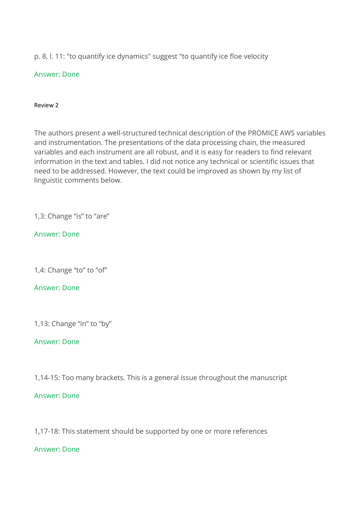p. 8, l. 11: "to quantify ice dynamics" suggest "to quantify ice floe velocity

# Answer: Done

### Review 2

The authors present a well-structured technical description of the PROMICE AWS variables and instrumentation. The presentations of the data processing chain, the measured variables and each instrument are all robust, and it is easy for readers to find relevant information in the text and tables. I did not notice any technical or scientific issues that need to be addressed. However, the text could be improved as shown by my list of linguistic comments below.

1,3: Change "is" to "are"

Answer: Done

1,4: Change "to" to "of"

# Answer: Done

1,13: Change "in" to "by"

# Answer: Done

1,14-15: Too many brackets. This is a general issue throughout the manuscript

# Answer: Done

1,17-18: This statement should be supported by one or more references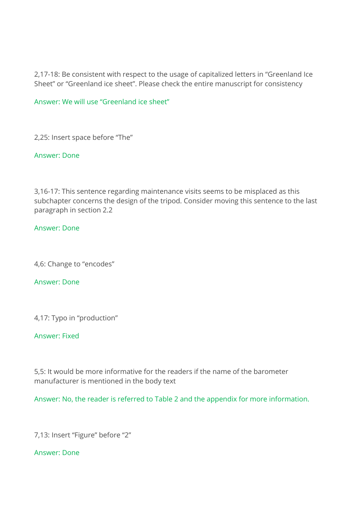2,17-18: Be consistent with respect to the usage of capitalized letters in "Greenland Ice Sheet" or "Greenland ice sheet". Please check the entire manuscript for consistency

Answer: We will use "Greenland ice sheet"

2,25: Insert space before "The"

Answer: Done

3,16-17: This sentence regarding maintenance visits seems to be misplaced as this subchapter concerns the design of the tripod. Consider moving this sentence to the last paragraph in section 2.2

## Answer: Done

4,6: Change to "encodes"

### Answer: Done

4,17: Typo in "production"

## Answer: Fixed

5,5: It would be more informative for the readers if the name of the barometer manufacturer is mentioned in the body text

Answer: No, the reader is referred to Table 2 and the appendix for more information.

7,13: Insert "Figure" before "2"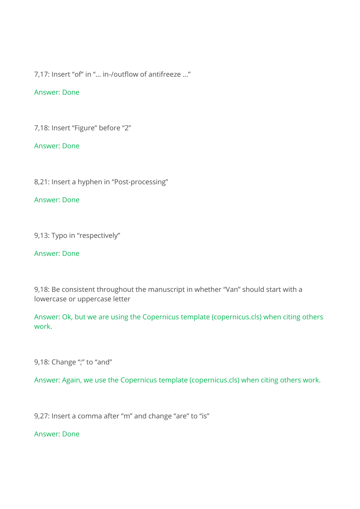7,17: Insert "of" in "… in-/outflow of antifreeze …"

### Answer: Done

7,18: Insert "Figure" before "2"

### Answer: Done

8,21: Insert a hyphen in "Post-processing"

## Answer: Done

9,13: Typo in "respectively"

### Answer: Done

9,18: Be consistent throughout the manuscript in whether "Van" should start with a lowercase or uppercase letter

Answer: Ok, but we are using the Copernicus template (copernicus.cls) when citing others work.

9,18: Change ";" to "and"

Answer: Again, we use the Copernicus template (copernicus.cls) when citing others work.

9,27: Insert a comma after "m" and change "are" to "is"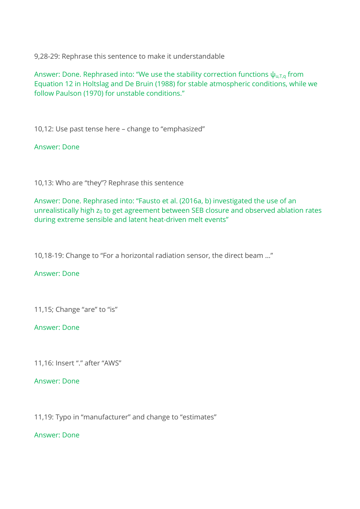9,28-29: Rephrase this sentence to make it understandable

Answer: Done. Rephrased into: "We use the stability correction functions  $\psi_{u,T,q}$  from Equation 12 in Holtslag and De Bruin (1988) for stable atmospheric conditions, while we follow Paulson (1970) for unstable conditions."

10,12: Use past tense here – change to "emphasized"

Answer: Done

10,13: Who are "they"? Rephrase this sentence

Answer: Done. Rephrased into: "Fausto et al. (2016a, b) investigated the use of an unrealistically high  $z_0$  to get agreement between SEB closure and observed ablation rates during extreme sensible and latent heat-driven melt events"

10,18-19: Change to "For a horizontal radiation sensor, the direct beam …"

### Answer: Done

11,15; Change "are" to "is"

### Answer: Done

11,16: Insert "." after "AWS"

Answer: Done

11,19: Typo in "manufacturer" and change to "estimates"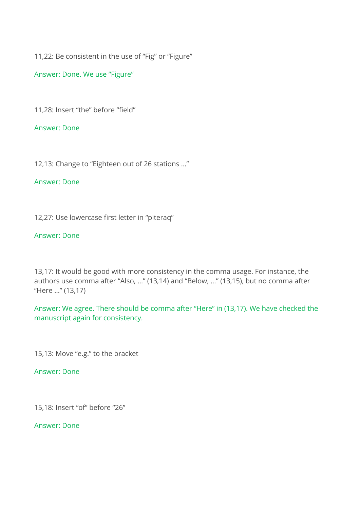11,22: Be consistent in the use of "Fig" or "Figure"

Answer: Done. We use "Figure"

11,28: Insert "the" before "field"

Answer: Done

12,13: Change to "Eighteen out of 26 stations …"

Answer: Done

12,27: Use lowercase first letter in "piteraq"

## Answer: Done

13,17: It would be good with more consistency in the comma usage. For instance, the authors use comma after "Also, …" (13,14) and "Below, …" (13,15), but no comma after "Here …" (13,17)

Answer: We agree. There should be comma after "Here" in (13,17). We have checked the manuscript again for consistency.

15,13: Move "e.g." to the bracket

Answer: Done

15,18: Insert "of" before "26"